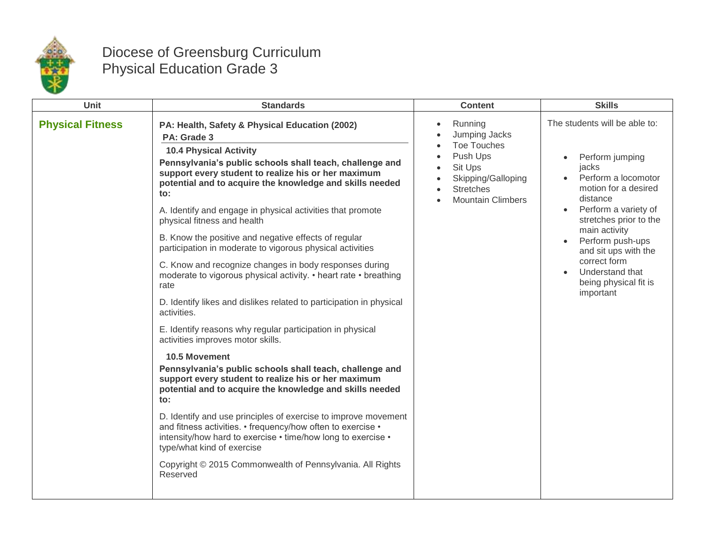

## Diocese of Greensburg Curriculum Physical Education Grade 3

| <b>Unit</b>             | <b>Standards</b>                                                                                                                                                                                                                                                                                 | <b>Content</b>                                                                                                                              | <b>Skills</b>                                                                                                                                                                                                                                                                                                                          |
|-------------------------|--------------------------------------------------------------------------------------------------------------------------------------------------------------------------------------------------------------------------------------------------------------------------------------------------|---------------------------------------------------------------------------------------------------------------------------------------------|----------------------------------------------------------------------------------------------------------------------------------------------------------------------------------------------------------------------------------------------------------------------------------------------------------------------------------------|
| <b>Physical Fitness</b> | PA: Health, Safety & Physical Education (2002)<br>PA: Grade 3<br><b>10.4 Physical Activity</b><br>Pennsylvania's public schools shall teach, challenge and<br>support every student to realize his or her maximum<br>potential and to acquire the knowledge and skills needed<br>$\mathbf{to}$ : | Running<br>Jumping Jacks<br><b>Toe Touches</b><br>Push Ups<br>Sit Ups<br>Skipping/Galloping<br><b>Stretches</b><br><b>Mountain Climbers</b> | The students will be able to:<br>Perform jumping<br>jacks<br>Perform a locomotor<br>motion for a desired<br>distance<br>Perform a variety of<br>$\bullet$<br>stretches prior to the<br>main activity<br>Perform push-ups<br>and sit ups with the<br>correct form<br>Understand that<br>$\bullet$<br>being physical fit is<br>important |
|                         | A. Identify and engage in physical activities that promote<br>physical fitness and health                                                                                                                                                                                                        |                                                                                                                                             |                                                                                                                                                                                                                                                                                                                                        |
|                         | B. Know the positive and negative effects of regular<br>participation in moderate to vigorous physical activities                                                                                                                                                                                |                                                                                                                                             |                                                                                                                                                                                                                                                                                                                                        |
|                         | C. Know and recognize changes in body responses during<br>moderate to vigorous physical activity. • heart rate • breathing<br>rate                                                                                                                                                               |                                                                                                                                             |                                                                                                                                                                                                                                                                                                                                        |
|                         | D. Identify likes and dislikes related to participation in physical<br>activities.                                                                                                                                                                                                               |                                                                                                                                             |                                                                                                                                                                                                                                                                                                                                        |
|                         | E. Identify reasons why regular participation in physical<br>activities improves motor skills.                                                                                                                                                                                                   |                                                                                                                                             |                                                                                                                                                                                                                                                                                                                                        |
|                         | <b>10.5 Movement</b><br>Pennsylvania's public schools shall teach, challenge and<br>support every student to realize his or her maximum<br>potential and to acquire the knowledge and skills needed<br>$\mathbf{to}$ :                                                                           |                                                                                                                                             |                                                                                                                                                                                                                                                                                                                                        |
|                         | D. Identify and use principles of exercise to improve movement<br>and fitness activities. • frequency/how often to exercise •<br>intensity/how hard to exercise • time/how long to exercise •<br>type/what kind of exercise                                                                      |                                                                                                                                             |                                                                                                                                                                                                                                                                                                                                        |
|                         | Copyright © 2015 Commonwealth of Pennsylvania. All Rights<br>Reserved                                                                                                                                                                                                                            |                                                                                                                                             |                                                                                                                                                                                                                                                                                                                                        |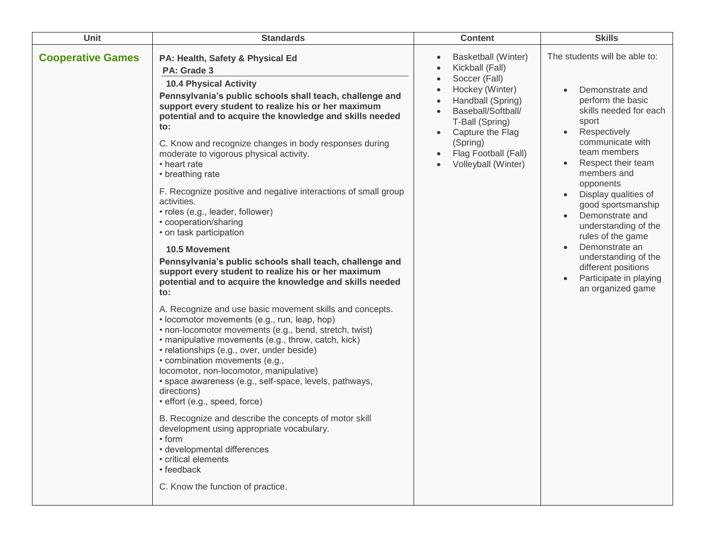| Unit                     | <b>Standards</b>                                                                                                                                                                                                                                                                                                                                                                                                                                                                                                                                                                                                                                         | <b>Content</b>                                                                                                                                                                                                                       | <b>Skills</b>                                                                                                                                                                                                                                                                                                                                                                                                                                             |
|--------------------------|----------------------------------------------------------------------------------------------------------------------------------------------------------------------------------------------------------------------------------------------------------------------------------------------------------------------------------------------------------------------------------------------------------------------------------------------------------------------------------------------------------------------------------------------------------------------------------------------------------------------------------------------------------|--------------------------------------------------------------------------------------------------------------------------------------------------------------------------------------------------------------------------------------|-----------------------------------------------------------------------------------------------------------------------------------------------------------------------------------------------------------------------------------------------------------------------------------------------------------------------------------------------------------------------------------------------------------------------------------------------------------|
| <b>Cooperative Games</b> | PA: Health, Safety & Physical Ed<br>PA: Grade 3<br><b>10.4 Physical Activity</b><br>Pennsylvania's public schools shall teach, challenge and<br>support every student to realize his or her maximum<br>potential and to acquire the knowledge and skills needed<br>to:<br>C. Know and recognize changes in body responses during<br>moderate to vigorous physical activity.<br>• heart rate<br>• breathing rate                                                                                                                                                                                                                                          | Basketball (Winter)<br>$\bullet$<br>Kickball (Fall)<br>Soccer (Fall)<br>Hockey (Winter)<br>Handball (Spring)<br>Baseball/Softball/<br>T-Ball (Spring)<br>Capture the Flag<br>(Spring)<br>Flag Football (Fall)<br>Volleyball (Winter) | The students will be able to:<br>Demonstrate and<br>perform the basic<br>skills needed for each<br>sport<br>Respectively<br>$\bullet$<br>communicate with<br>team members<br>Respect their team<br>members and<br>opponents<br>Display qualities of<br>good sportsmanship<br>Demonstrate and<br>understanding of the<br>rules of the game<br>Demonstrate an<br>understanding of the<br>different positions<br>Participate in playing<br>an organized game |
|                          | F. Recognize positive and negative interactions of small group<br>activities.<br>• roles (e.g., leader, follower)<br>• cooperation/sharing<br>• on task participation<br><b>10.5 Movement</b><br>Pennsylvania's public schools shall teach, challenge and<br>support every student to realize his or her maximum<br>potential and to acquire the knowledge and skills needed<br>to:                                                                                                                                                                                                                                                                      |                                                                                                                                                                                                                                      |                                                                                                                                                                                                                                                                                                                                                                                                                                                           |
|                          | A. Recognize and use basic movement skills and concepts.<br>• locomotor movements (e.g., run, leap, hop)<br>• non-locomotor movements (e.g., bend, stretch, twist)<br>· manipulative movements (e.g., throw, catch, kick)<br>· relationships (e.g., over, under beside)<br>• combination movements (e.g.,<br>locomotor, non-locomotor, manipulative)<br>• space awareness (e.g., self-space, levels, pathways,<br>directions)<br>· effort (e.g., speed, force)<br>B. Recognize and describe the concepts of motor skill<br>development using appropriate vocabulary.<br>$\cdot$ form<br>· developmental differences<br>• critical elements<br>• feedback |                                                                                                                                                                                                                                      |                                                                                                                                                                                                                                                                                                                                                                                                                                                           |
|                          | C. Know the function of practice.                                                                                                                                                                                                                                                                                                                                                                                                                                                                                                                                                                                                                        |                                                                                                                                                                                                                                      |                                                                                                                                                                                                                                                                                                                                                                                                                                                           |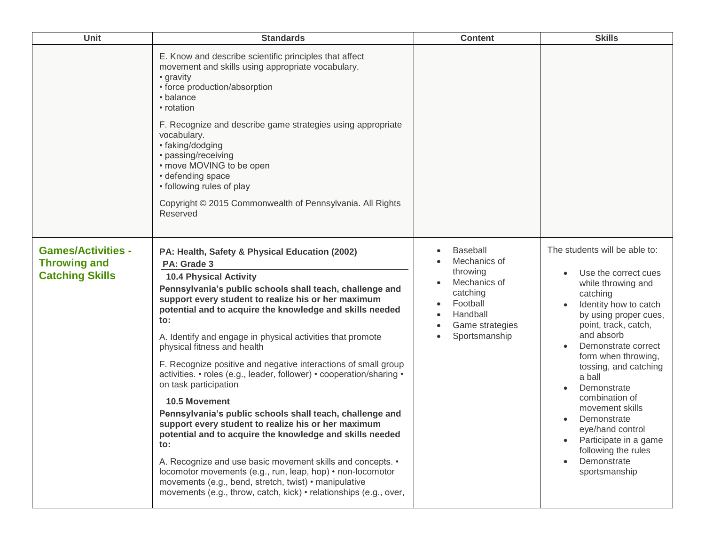| Unit                                                                       | <b>Standards</b>                                                                                                                                                                                                                                                                                                                                                                                                                                                                                                                                                                                                                                                                                                                                                                                                                                                                                                                                                                                                             | <b>Content</b>                                                                                                                                   | <b>Skills</b>                                                                                                                                                                                                                                                                                                                                                                                                                           |
|----------------------------------------------------------------------------|------------------------------------------------------------------------------------------------------------------------------------------------------------------------------------------------------------------------------------------------------------------------------------------------------------------------------------------------------------------------------------------------------------------------------------------------------------------------------------------------------------------------------------------------------------------------------------------------------------------------------------------------------------------------------------------------------------------------------------------------------------------------------------------------------------------------------------------------------------------------------------------------------------------------------------------------------------------------------------------------------------------------------|--------------------------------------------------------------------------------------------------------------------------------------------------|-----------------------------------------------------------------------------------------------------------------------------------------------------------------------------------------------------------------------------------------------------------------------------------------------------------------------------------------------------------------------------------------------------------------------------------------|
|                                                                            | E. Know and describe scientific principles that affect<br>movement and skills using appropriate vocabulary.<br>• gravity<br>• force production/absorption<br>• balance<br>• rotation<br>F. Recognize and describe game strategies using appropriate<br>vocabulary.<br>• faking/dodging<br>• passing/receiving<br>• move MOVING to be open<br>• defending space<br>• following rules of play<br>Copyright © 2015 Commonwealth of Pennsylvania. All Rights<br>Reserved                                                                                                                                                                                                                                                                                                                                                                                                                                                                                                                                                         |                                                                                                                                                  |                                                                                                                                                                                                                                                                                                                                                                                                                                         |
| <b>Games/Activities -</b><br><b>Throwing and</b><br><b>Catching Skills</b> | PA: Health, Safety & Physical Education (2002)<br>PA: Grade 3<br><b>10.4 Physical Activity</b><br>Pennsylvania's public schools shall teach, challenge and<br>support every student to realize his or her maximum<br>potential and to acquire the knowledge and skills needed<br>to:<br>A. Identify and engage in physical activities that promote<br>physical fitness and health<br>F. Recognize positive and negative interactions of small group<br>activities. • roles (e.g., leader, follower) • cooperation/sharing •<br>on task participation<br><b>10.5 Movement</b><br>Pennsylvania's public schools shall teach, challenge and<br>support every student to realize his or her maximum<br>potential and to acquire the knowledge and skills needed<br>to:<br>A. Recognize and use basic movement skills and concepts. •<br>locomotor movements (e.g., run, leap, hop) • non-locomotor<br>movements (e.g., bend, stretch, twist) • manipulative<br>movements (e.g., throw, catch, kick) • relationships (e.g., over, | <b>Baseball</b><br>$\bullet$<br>Mechanics of<br>throwing<br>Mechanics of<br>catching<br>Football<br>Handball<br>Game strategies<br>Sportsmanship | The students will be able to:<br>Use the correct cues<br>while throwing and<br>catching<br>Identity how to catch<br>by using proper cues,<br>point, track, catch,<br>and absorb<br>Demonstrate correct<br>form when throwing,<br>tossing, and catching<br>a ball<br>Demonstrate<br>combination of<br>movement skills<br>Demonstrate<br>eye/hand control<br>Participate in a game<br>following the rules<br>Demonstrate<br>sportsmanship |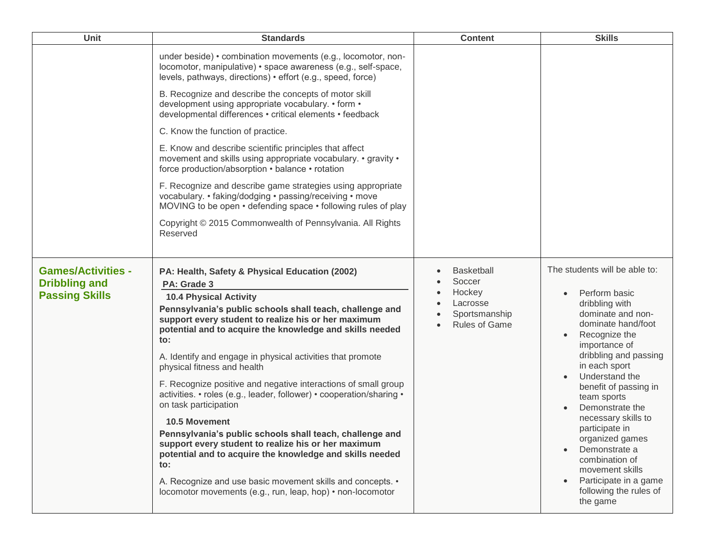| Unit                                                                       | <b>Standards</b>                                                                                                                                                                                                                                                                                                                                                                                                                                                                                                                                                                                                                                                                                                                                                                                                                                                                        | <b>Content</b>                                                                             | <b>Skills</b>                                                                                                                                                                                                                                                                                                                                                                                                                                                      |
|----------------------------------------------------------------------------|-----------------------------------------------------------------------------------------------------------------------------------------------------------------------------------------------------------------------------------------------------------------------------------------------------------------------------------------------------------------------------------------------------------------------------------------------------------------------------------------------------------------------------------------------------------------------------------------------------------------------------------------------------------------------------------------------------------------------------------------------------------------------------------------------------------------------------------------------------------------------------------------|--------------------------------------------------------------------------------------------|--------------------------------------------------------------------------------------------------------------------------------------------------------------------------------------------------------------------------------------------------------------------------------------------------------------------------------------------------------------------------------------------------------------------------------------------------------------------|
|                                                                            | under beside) • combination movements (e.g., locomotor, non-<br>locomotor, manipulative) · space awareness (e.g., self-space,<br>levels, pathways, directions) • effort (e.g., speed, force)                                                                                                                                                                                                                                                                                                                                                                                                                                                                                                                                                                                                                                                                                            |                                                                                            |                                                                                                                                                                                                                                                                                                                                                                                                                                                                    |
|                                                                            | B. Recognize and describe the concepts of motor skill<br>development using appropriate vocabulary. • form •<br>developmental differences · critical elements · feedback                                                                                                                                                                                                                                                                                                                                                                                                                                                                                                                                                                                                                                                                                                                 |                                                                                            |                                                                                                                                                                                                                                                                                                                                                                                                                                                                    |
|                                                                            | C. Know the function of practice.                                                                                                                                                                                                                                                                                                                                                                                                                                                                                                                                                                                                                                                                                                                                                                                                                                                       |                                                                                            |                                                                                                                                                                                                                                                                                                                                                                                                                                                                    |
|                                                                            | E. Know and describe scientific principles that affect<br>movement and skills using appropriate vocabulary. • gravity •<br>force production/absorption • balance • rotation                                                                                                                                                                                                                                                                                                                                                                                                                                                                                                                                                                                                                                                                                                             |                                                                                            |                                                                                                                                                                                                                                                                                                                                                                                                                                                                    |
|                                                                            | F. Recognize and describe game strategies using appropriate<br>vocabulary. • faking/dodging • passing/receiving • move<br>MOVING to be open • defending space • following rules of play                                                                                                                                                                                                                                                                                                                                                                                                                                                                                                                                                                                                                                                                                                 |                                                                                            |                                                                                                                                                                                                                                                                                                                                                                                                                                                                    |
|                                                                            | Copyright © 2015 Commonwealth of Pennsylvania. All Rights<br>Reserved                                                                                                                                                                                                                                                                                                                                                                                                                                                                                                                                                                                                                                                                                                                                                                                                                   |                                                                                            |                                                                                                                                                                                                                                                                                                                                                                                                                                                                    |
| <b>Games/Activities -</b><br><b>Dribbling and</b><br><b>Passing Skills</b> | PA: Health, Safety & Physical Education (2002)<br>PA: Grade 3<br><b>10.4 Physical Activity</b><br>Pennsylvania's public schools shall teach, challenge and<br>support every student to realize his or her maximum<br>potential and to acquire the knowledge and skills needed<br>to:<br>A. Identify and engage in physical activities that promote<br>physical fitness and health<br>F. Recognize positive and negative interactions of small group<br>activities. • roles (e.g., leader, follower) • cooperation/sharing •<br>on task participation<br>10.5 Movement<br>Pennsylvania's public schools shall teach, challenge and<br>support every student to realize his or her maximum<br>potential and to acquire the knowledge and skills needed<br>to:<br>A. Recognize and use basic movement skills and concepts. •<br>locomotor movements (e.g., run, leap, hop) • non-locomotor | <b>Basketball</b><br>Soccer<br>Hockey<br>Lacrosse<br>Sportsmanship<br><b>Rules of Game</b> | The students will be able to:<br>Perform basic<br>dribbling with<br>dominate and non-<br>dominate hand/foot<br>Recognize the<br>importance of<br>dribbling and passing<br>in each sport<br>Understand the<br>benefit of passing in<br>team sports<br>Demonstrate the<br>necessary skills to<br>participate in<br>organized games<br>Demonstrate a<br>$\bullet$<br>combination of<br>movement skills<br>Participate in a game<br>following the rules of<br>the game |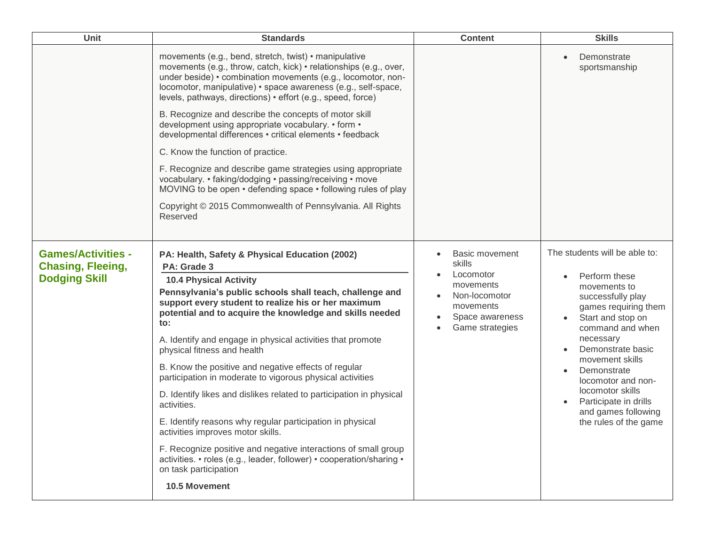| <b>Unit</b>                                                                   | <b>Standards</b>                                                                                                                                                                                                                                                                                                                                                                                                                                                                                                                                                                                                                                                                                                                                                                                                                                                                   | <b>Content</b>                                                                                                         | <b>Skills</b>                                                                                                                                                                                                                                                                                                                               |
|-------------------------------------------------------------------------------|------------------------------------------------------------------------------------------------------------------------------------------------------------------------------------------------------------------------------------------------------------------------------------------------------------------------------------------------------------------------------------------------------------------------------------------------------------------------------------------------------------------------------------------------------------------------------------------------------------------------------------------------------------------------------------------------------------------------------------------------------------------------------------------------------------------------------------------------------------------------------------|------------------------------------------------------------------------------------------------------------------------|---------------------------------------------------------------------------------------------------------------------------------------------------------------------------------------------------------------------------------------------------------------------------------------------------------------------------------------------|
|                                                                               | movements (e.g., bend, stretch, twist) • manipulative<br>movements (e.g., throw, catch, kick) • relationships (e.g., over,<br>under beside) • combination movements (e.g., locomotor, non-<br>locomotor, manipulative) • space awareness (e.g., self-space,<br>levels, pathways, directions) • effort (e.g., speed, force)<br>B. Recognize and describe the concepts of motor skill<br>development using appropriate vocabulary. • form •<br>developmental differences · critical elements · feedback<br>C. Know the function of practice.<br>F. Recognize and describe game strategies using appropriate<br>vocabulary. • faking/dodging • passing/receiving • move<br>MOVING to be open • defending space • following rules of play<br>Copyright © 2015 Commonwealth of Pennsylvania. All Rights<br>Reserved                                                                     |                                                                                                                        | Demonstrate<br>sportsmanship                                                                                                                                                                                                                                                                                                                |
| <b>Games/Activities -</b><br><b>Chasing, Fleeing,</b><br><b>Dodging Skill</b> | PA: Health, Safety & Physical Education (2002)<br>PA: Grade 3<br><b>10.4 Physical Activity</b><br>Pennsylvania's public schools shall teach, challenge and<br>support every student to realize his or her maximum<br>potential and to acquire the knowledge and skills needed<br>to:<br>A. Identify and engage in physical activities that promote<br>physical fitness and health<br>B. Know the positive and negative effects of regular<br>participation in moderate to vigorous physical activities<br>D. Identify likes and dislikes related to participation in physical<br>activities.<br>E. Identify reasons why regular participation in physical<br>activities improves motor skills.<br>F. Recognize positive and negative interactions of small group<br>activities. • roles (e.g., leader, follower) • cooperation/sharing •<br>on task participation<br>10.5 Movement | Basic movement<br>skills<br>Locomotor<br>movements<br>Non-locomotor<br>movements<br>Space awareness<br>Game strategies | The students will be able to:<br>Perform these<br>movements to<br>successfully play<br>games requiring them<br>Start and stop on<br>command and when<br>necessary<br>Demonstrate basic<br>movement skills<br>Demonstrate<br>locomotor and non-<br>locomotor skills<br>Participate in drills<br>and games following<br>the rules of the game |